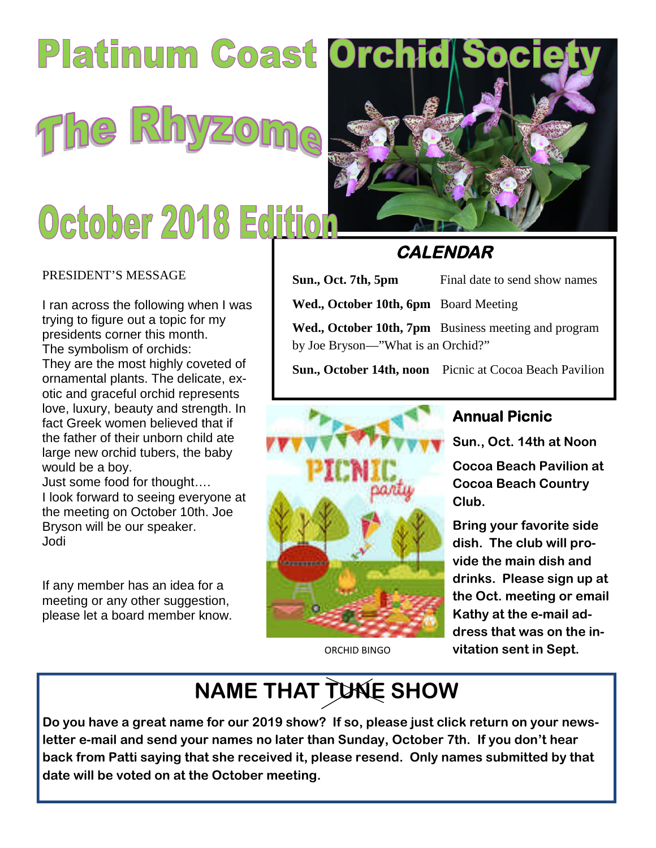# Platinum Coast Orchid Soc The Rhyz

# October 2018 Edition

#### PRESIDENT'S MESSAGE

I ran across the following when I was trying to figure out a topic for my presidents corner this month. The symbolism of orchids: They are the most highly coveted of ornamental plants. The delicate, exotic and graceful orchid represents love, luxury, beauty and strength. In fact Greek women believed that if the father of their unborn child ate large new orchid tubers, the baby would be a boy.

Just some food for thought…. I look forward to seeing everyone at the meeting on October 10th. Joe Bryson will be our speaker. Jodi

If any member has an idea for a meeting or any other suggestion, please let a board member know.



# **CALENDAR**

| Sun., Oct. 7th, 5pm                   | Final date to send show names                        |
|---------------------------------------|------------------------------------------------------|
| Wed., October 10th, 6pm Board Meeting |                                                      |
| by Joe Bryson—"What is an Orchid?"    | Wed., October 10th, 7pm Business meeting and program |
|                                       |                                                      |

**Sun., October 14th, noon** Picnic at Cocoa Beach Pavilion



ORCHID BINGO

## **Annual Picnic**

**Sun., Oct. 14th at Noon**

**Cocoa Beach Pavilion at Cocoa Beach Country Club.**

**Bring your favorite side dish. The club will provide the main dish and drinks. Please sign up at the Oct. meeting or email Kathy at the e-mail address that was on the invitation sent in Sept.**

# **NAME THAT TUNE SHOW**

**Do you have a great name for our 2019 show? If so, please just click return on your newsletter e-mail and send your names no later than Sunday, October 7th. If you don't hear back from Patti saying that she received it, please resend. Only names submitted by that date will be voted on at the October meeting.**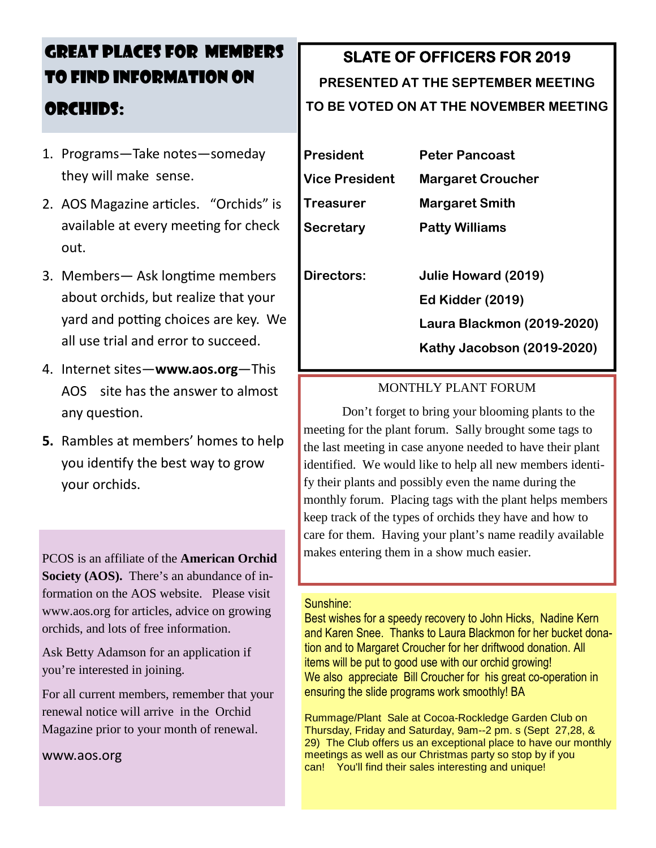# GREAT PLACES FOR MEMBERS TO FIND INFORMATION ON ORCHIDS:

- 1. Programs—Take notes—someday they will make sense.
- 2. A OS Magazine articles. "Orchids" is available at every meeting for check out.
- 3. Members— Ask longtime members about orchids, but realize that your yard and potting choices are key. We all use trial and error to succeed.
- 4. Internet sites—**www.aos.org**—This AOS site has the answer to almost any question.
- **5.** Rambles at members' homes to help you identify the best way to grow your orchids.

PCOS is an affiliate of the **American Orchid Society (AOS).** There's an abundance of information on the AOS website. Please visit www.aos.org for articles, advice on growing orchids, and lots of free information.

Ask Betty Adamson for an application if you're interested in joining.

For all current members, remember that your renewal notice will arrive in the Orchid Magazine prior to your month of renewal.

www.aos.org

# **SLATE OF OFFICERS FOR 2019**

# **PRESENTED AT THE SEPTEMBER MEETING TO BE VOTED ON AT THE NOVEMBER MEETING**

**President Peter Pancoast Vice President Margaret Croucher Treasurer Margaret Smith Secretary Patty Williams**

**Directors: Julie Howard (2019) Ed Kidder (2019) Laura Blackmon (2019-2020) Kathy Jacobson (2019-2020)**

#### MONTHLY PLANT FORUM

Don't forget to bring your blooming plants to the meeting for the plant forum. Sally brought some tags to the last meeting in case anyone needed to have their plant identified. We would like to help all new members identify their plants and possibly even the name during the monthly forum. Placing tags with the plant helps members keep track of the types of orchids they have and how to care for them. Having your plant's name readily available makes entering them in a show much easier.

#### Sunshine:

Best wishes for a speedy recovery to John Hicks, Nadine Kern and Karen Snee. Thanks to Laura Blackmon for her bucket donation and to Margaret Croucher for her driftwood donation. All items will be put to good use with our orchid growing! We also appreciate Bill Croucher for his great co-operation in ensuring the slide programs work smoothly! BA

Rummage/Plant Sale at Cocoa-Rockledge Garden Club on Thursday, Friday and Saturday, 9am--2 pm. s (Sept 27,28, & 29) The Club offers us an exceptional place to have our monthly meetings as well as our Christmas party so stop by if you can! You'll find their sales interesting and unique!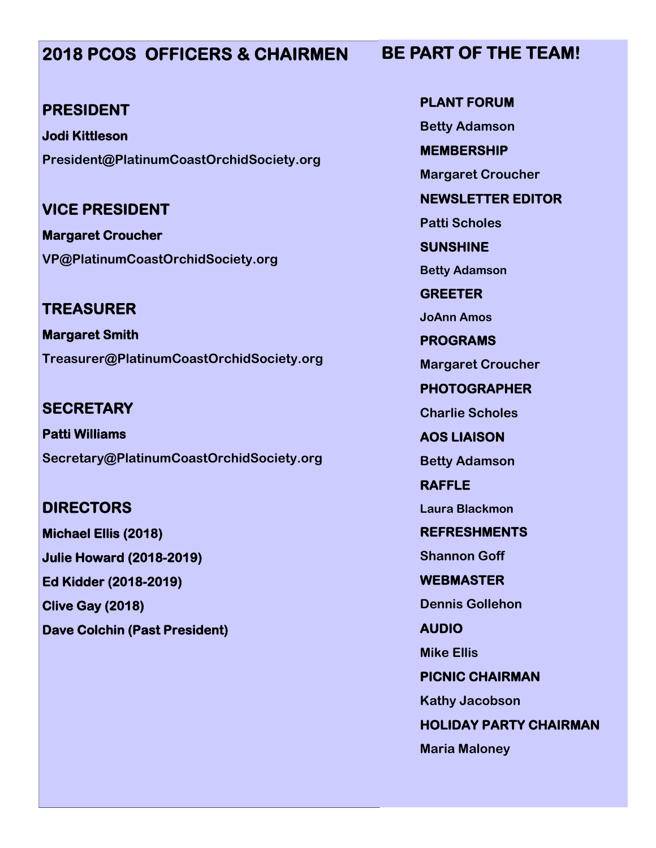# **2018 PCOS OFFICERS & CHAIRMEN**

#### **PRESIDENT**

**Jodi Kittleson President@PlatinumCoastOrchidSociety.org**

**VICE PRESIDENT**

**Margaret Croucher VP@PlatinumCoastOrchidSociety.org**

**TREASURER Margaret Smith Treasurer@PlatinumCoastOrchidSociety.org**

**SECRETARY Patti Williams Secretary@PlatinumCoastOrchidSociety.org**

**DIRECTORS Michael Ellis (2018) Julie Howard (2018-2019) Ed Kidder (2018-2019) Clive Gay (2018) Dave Colchin (Past President)** **PLANT FORUM Betty Adamson MEMBERSHIP Margaret Croucher NEWSLETTER EDITOR Patti Scholes SUNSHINE Betty Adamson GREETER JoAnn Amos PROGRAMS Margaret Croucher PHOTOGRAPHER Charlie Scholes AOS LIAISON Betty Adamson RAFFLE Laura Blackmon REFRESHMENTS Shannon Goff**

**WEBMASTER**

**Dennis Gollehon**

**AUDIO**

**Mike Ellis**

**PICNIC CHAIRMAN Kathy Jacobson**

**HOLIDAY PARTY CHAIRMAN**

**Maria Maloney**

# **BE PART OF THE TEAM!**